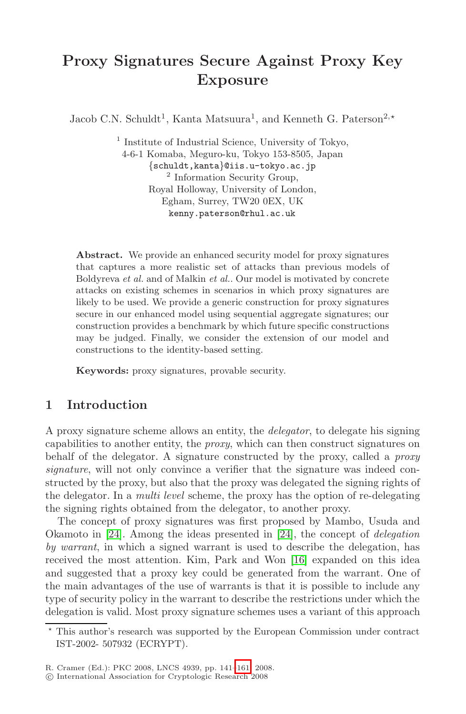# **Proxy Signatures Secure Against Proxy Key Exposure**

Jacob C.N. Schuldt<sup>1</sup>, Kanta Matsuura<sup>1</sup>, and Kenneth G. Paterson<sup>2,\*</sup>

<sup>1</sup> Institute of Industrial Science, University of Tokyo, 4-6-1 Komaba, Meguro-ku, Tokyo 153-8505, Japan {schuldt,kanta}@iis.u-tokyo.ac.jp <sup>2</sup> Information Security Group, Royal Holloway, University of London, Egham, Surrey, TW20 0EX, UK kenny.paterson@rhul.ac.uk

Abstract. We provide an enhanced security model for proxy signatures that captures a more realistic set of attacks than previous models of Boldyreva et al. and of Malkin et al.. Our model is motivated by concrete attacks on existing schemes in scenarios in which proxy signatures are likely to be used. We provide a generic construction for proxy signatures secure in our enhanced model using sequential aggregate signatures; our construction provides a benchmark by which future specific constructions may be judged. Finally, we consider the extension of our model and constructions to the identity-based setting.

**Keywords:** proxy signatures, provable security.

## **1 Introduction**

A proxy signature scheme allows an entity, the delegator, to delegate his signing capabilities to another entity, the proxy, which can then construct signatures on behalf of the delegator. A signature constructed by the proxy, called a proxy signature, will not only convince a verifier that the signature was indeed constructed by the proxy, but also that the proxy was delegated the signing rights of the delegator. In a multi level scheme, the proxy has the option of re-delegating the signing rights obtained from the delegator, to another proxy.

The concept of proxy signatures was first proposed by Mambo, Usuda and Okamoto in [\[24\]](#page-16-0). Among the ideas presented in [\[24\]](#page-16-0), the concept of delegation by warrant, in which a signed warrant is used to describe the delegation, has received the most attention. Kim, Park and Won [\[16\]](#page-16-1) expanded on this idea and suggested that a proxy key could be generated from the warrant. One of the main advantages of the use of warrants is that it is possible to include any type of security policy in the warrant to describe the restrictions under which the delegation is valid. Most proxy signature schemes uses a variant of this approach

<sup>-</sup> This author's research was supported by the European Commission under contract IST-2002- 507932 (ECRYPT).

R. Cramer (Ed.): PKC 2008, LNCS 4939, pp. 141[–161,](#page-20-0) 2008.

<sup>-</sup>c International Association for Cryptologic Research 2008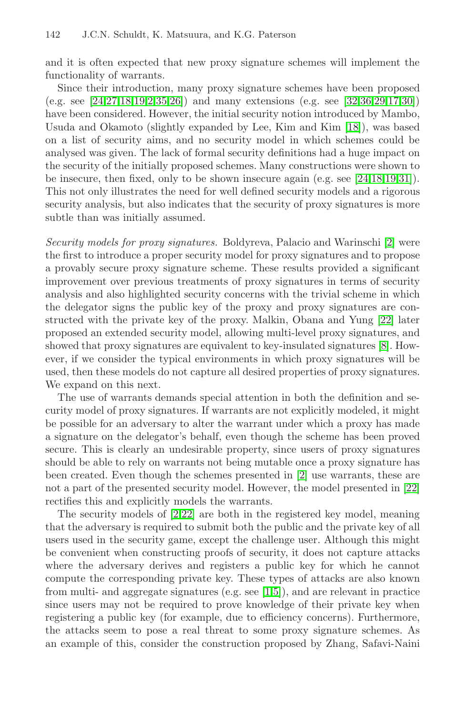and it is often expected that new proxy signature schemes will implement the functionality of warrants.

Since their introduction, many proxy signature schemes have been proposed (e.g. see [\[24](#page-16-0)[,27](#page-16-2)[,18,](#page-16-3)[19](#page-16-4)[,2](#page-15-0)[,35,](#page-17-0)[26\]](#page-16-5)) and many extensions (e.g. see [\[32,](#page-16-6)[36,](#page-17-1)[29,](#page-16-7)[17](#page-16-8)[,30\]](#page-16-9)) have been considered. However, the initial security notion introduced by Mambo, Usuda and Okamoto (slightly expanded by Lee, Kim and Kim [\[18\]](#page-16-3)), was based on a list of security aims, and no security model in which schemes could be analysed was given. The lack of formal security definitions had a huge impact on the security of the initially proposed schemes. Many constructions were shown to be insecure, then fixed, only to be shown insecure again (e.g. see [\[24,](#page-16-0)[18,](#page-16-3)[19](#page-16-4)[,31\]](#page-16-10)). This not only illustrates the need for well defined security models and a rigorous security analysis, but also indicates that the security of proxy signatures is more subtle than was initially assumed.

Security models for proxy signatures. Boldyreva, Palacio and Warinschi [\[2\]](#page-15-0) were the first to introduce a proper security model for proxy signatures and to propose a provably secure proxy signature scheme. These results provided a significant improvement over previous treatments of proxy signatures in terms of security analysis and also highlighted security concerns with the trivial scheme in which the delegator signs the public key of the proxy and proxy signatures are constructed with the private key of the proxy. Malkin, Obana and Yung [\[22\]](#page-16-11) later proposed an extended security model, allowing multi-level proxy signatures, and showed that proxy signatures are equivalent to key-insulated signatures [\[8\]](#page-15-1). However, if we consider the typical environments in which proxy signatures will be used, then these models do not capture all desired properties of proxy signatures. We expand on this next.

The use of warrants demands special attention in both the definition and security model of proxy signatures. If warrants are not explicitly modeled, it might be possible for an adversary to alter the warrant under which a proxy has made a signature on the delegator's behalf, even though the scheme has been proved secure. This is clearly an undesirable property, since users of proxy signatures should be able to rely on warrants not being mutable once a proxy signature has been created. Even though the schemes presented in [\[2\]](#page-15-0) use warrants, these are not a part of the presented security model. However, the model presented in [\[22\]](#page-16-11) rectifies this and explicitly models the warrants.

The security models of [\[2,](#page-15-0)[22\]](#page-16-11) are both in the registered key model, meaning that the adversary is required to submit both the public and the private key of all users used in the security game, except the challenge user. Although this might be convenient when constructing proofs of security, it does not capture attacks where the adversary derives and registers a public key for which he cannot compute the corresponding private key. These types of attacks are also known from multi- and aggregate signatures (e.g. see [\[1,](#page-15-2)[5\]](#page-15-3)), and are relevant in practice since users may not be required to prove knowledge of their private key when registering a public key (for example, due to efficiency concerns). Furthermore, the attacks seem to pose a real threat to some proxy signature schemes. As an example of this, consider the construction proposed by Zhang, Safavi-Naini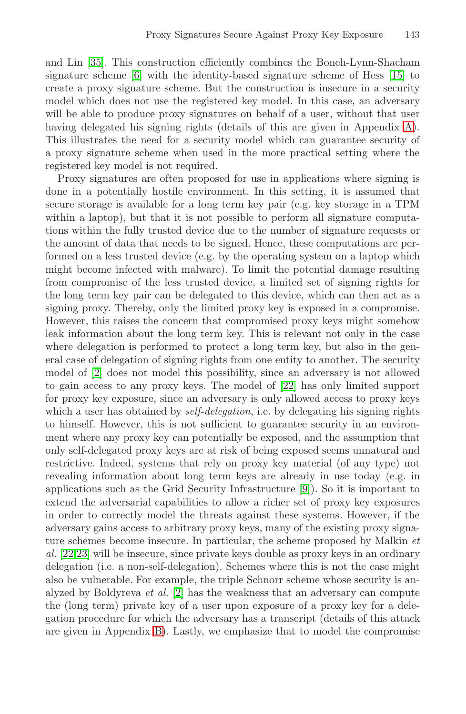and Lin [\[35\]](#page-17-0). This construction efficiently combines the Boneh-Lynn-Shacham signature scheme [\[6\]](#page-15-4) with the identity-based signature scheme of Hess [\[15\]](#page-15-5) to create a proxy signature scheme. But the construction is insecure in a security model which does not use the registered key model. In this case, an adversary will be able to produce proxy signatures on behalf of a user, without that user having delegated his signing rights (details of this are given in Appendix [A\)](#page-17-2). This illustrates the need for a security model which can guarantee security of a proxy signature scheme when used in the more practical setting where the registered key model is not required.

Proxy signatures are often proposed for use in applications where signing is done in a potentially hostile environment. In this setting, it is assumed that secure storage is available for a long term key pair (e.g. key storage in a TPM within a laptop), but that it is not possible to perform all signature computations within the fully trusted device due to the number of signature requests or the amount of data that needs to be signed. Hence, these computations are performed on a less trusted device (e.g. by the operating system on a laptop which might become infected with malware). To limit the potential damage resulting from compromise of the less trusted device, a limited set of signing rights for the long term key pair can be delegated to this device, which can then act as a signing proxy. Thereby, only the limited proxy key is exposed in a compromise. However, this raises the concern that compromised proxy keys might somehow leak information about the long term key. This is relevant not only in the case where delegation is performed to protect a long term key, but also in the general case of delegation of signing rights from one entity to another. The security model of [\[2\]](#page-15-0) does not model this possibility, since an adversary is not allowed to gain access to any proxy keys. The model of [\[22\]](#page-16-11) has only limited support for proxy key exposure, since an adversary is only allowed access to proxy keys which a user has obtained by *self-delegation*, i.e. by delegating his signing rights to himself. However, this is not sufficient to guarantee security in an environment where any proxy key can potentially be exposed, and the assumption that only self-delegated proxy keys are at risk of being exposed seems unnatural and restrictive. Indeed, systems that rely on proxy key material (of any type) not revealing information about long term keys are already in use today (e.g. in applications such as the Grid Security Infrastructure [\[9\]](#page-15-6)). So it is important to extend the adversarial capabilities to allow a richer set of proxy key exposures in order to correctly model the threats against these systems. However, if the adversary gains access to arbitrary proxy keys, many of the existing proxy signature schemes become insecure. In particular, the scheme proposed by Malkin et al. [\[22,](#page-16-11)[23\]](#page-16-12) will be insecure, since private keys double as proxy keys in an ordinary delegation (i.e. a non-self-delegation). Schemes where this is not the case might also be vulnerable. For example, the triple Schnorr scheme whose security is analyzed by Boldyreva et al. [\[2\]](#page-15-0) has the weakness that an adversary can compute the (long term) private key of a user upon exposure of a proxy key for a delegation procedure for which the adversary has a transcript (details of this attack are given in Appendix [B\)](#page-17-3). Lastly, we emphasize that to model the compromise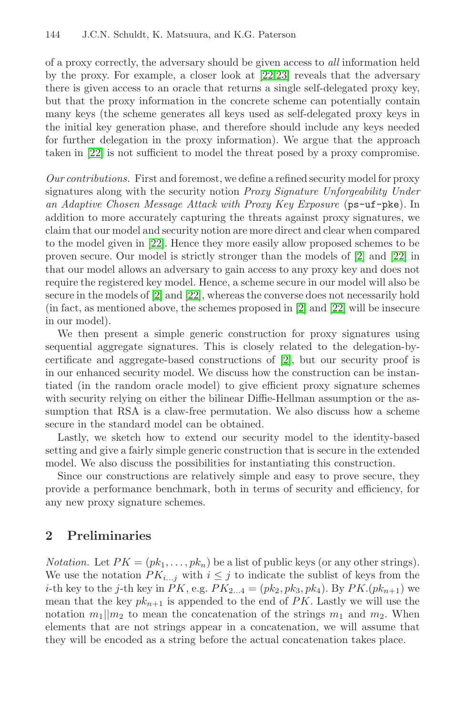of a proxy correctly, the adversary should be given access to all information held by the proxy. For example, a closer look at [\[22](#page-16-11)[,23\]](#page-16-12) reveals that the adversary there is given access to an oracle that returns a single self-delegated proxy key, but that the proxy information in the concrete scheme can potentially contain many keys (the scheme generates all keys used as self-delegated proxy keys in the initial key generation phase, and therefore should include any keys needed for further delegation in the proxy information). We argue that the approach taken in [\[22\]](#page-16-11) is not sufficient to model the threat posed by a proxy compromise.

Our contributions. First and foremost, we define a refined security model for proxy signatures along with the security notion Proxy Signature Unforgeability Under an Adaptive Chosen Message Attack with Proxy Key Exposure (ps-uf-pke). In addition to more accurately capturing the threats against proxy signatures, we claim that our model and security notion are more direct and clear when compared to the model given in [\[22\]](#page-16-11). Hence they more easily allow proposed schemes to be proven secure. Our model is strictly stronger than the models of [\[2\]](#page-15-0) and [\[22\]](#page-16-11) in that our model allows an adversary to gain access to any proxy key and does not require the registered key model. Hence, a scheme secure in our model will also be secure in the models of [\[2\]](#page-15-0) and [\[22\]](#page-16-11), whereas the converse does not necessarily hold (in fact, as mentioned above, the schemes proposed in [\[2\]](#page-15-0) and [\[22\]](#page-16-11) will be insecure in our model).

We then present a simple generic construction for proxy signatures using sequential aggregate signatures. This is closely related to the delegation-bycertificate and aggregate-based constructions of [\[2\]](#page-15-0), but our security proof is in our enhanced security model. We discuss how the construction can be instantiated (in the random oracle model) to give efficient proxy signature schemes with security relying on either the bilinear Diffie-Hellman assumption or the assumption that RSA is a claw-free permutation. We also discuss how a scheme secure in the standard model can be obtained.

Lastly, we sketch how to extend our security model to the identity-based setting and give a fairly simple generic construction that is secure in the extended model. We also discuss the possibilities for instantiating this construction.

Since our constructions are relatively simple and easy to prove secure, they provide a performance benchmark, both in terms of security and efficiency, for any new proxy signature schemes.

# **2 Preliminaries**

*Notation.* Let  $PK = (pk_1, \ldots, pk_n)$  be a list of public keys (or any other strings). We use the notation  $PK_{i...j}$  with  $i \leq j$  to indicate the sublist of keys from the *i*-th key to the *j*-th key in PK, e.g.  $PK_{2...4} = (pk_2, pk_3, pk_4)$ . By PK. $(pk_{n+1})$  we mean that the key  $pk_{n+1}$  is appended to the end of PK. Lastly we will use the notation  $m_1||m_2$  to mean the concatenation of the strings  $m_1$  and  $m_2$ . When elements that are not strings appear in a concatenation, we will assume that they will be encoded as a string before the actual concatenation takes place.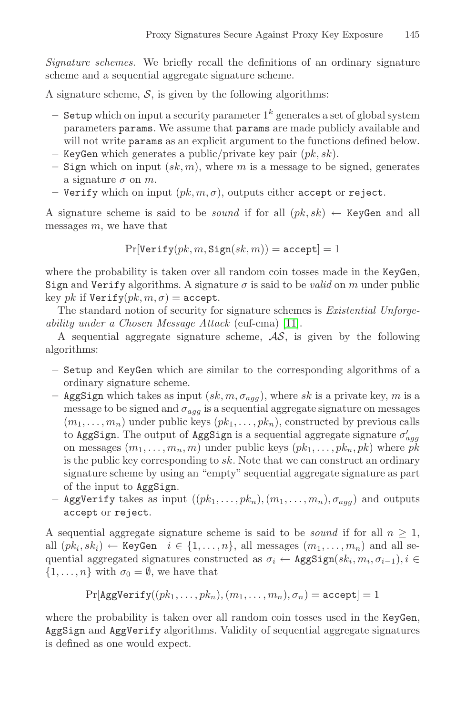Signature schemes. We briefly recall the definitions of an ordinary signature scheme and a sequential aggregate signature scheme.

A signature scheme,  $S$ , is given by the following algorithms:

- **–** Setup which on input a security parameter  $1^k$  generates a set of global system parameters params. We assume that params are made publicly available and will not write **params** as an explicit argument to the functions defined below.
- **–** KeyGen which generates a public/private key pair (pk, sk).
- $-$  Sign which on input  $(sk, m)$ , where m is a message to be signed, generates a signature  $\sigma$  on  $m$ .
- **–** Verify which on input  $(pk, m, \sigma)$ , outputs either accept or reject.

A signature scheme is said to be *sound* if for all  $(pk, sk) \leftarrow$  KeyGen and all messages  $m$ , we have that

$$
Pr[Verify(pk, m, Sign(sk, m)) = accept] = 1
$$

where the probability is taken over all random coin tosses made in the KeyGen, Sign and Verify algorithms. A signature  $\sigma$  is said to be *valid* on m under public key pk if  $Verify(pk, m, \sigma) = accept.$ 

The standard notion of security for signature schemes is Existential Unforgeability under a Chosen Message Attack (euf-cma) [\[11\]](#page-15-7).

A sequential aggregate signature scheme,  $\mathcal{AS}$ , is given by the following algorithms:

- **–** Setup and KeyGen which are similar to the corresponding algorithms of a ordinary signature scheme.
- **–** AggSign which takes as input  $(s_k, m, \sigma_{agg})$ , where sk is a private key, m is a message to be signed and  $\sigma_{agg}$  is a sequential aggregate signature on messages  $(m_1,\ldots,m_n)$  under public keys  $(pk_1,\ldots,pk_n)$ , constructed by previous calls to AggSign. The output of AggSign is a sequential aggregate signature  $\sigma_{agg}'$ on messages  $(m_1, \ldots, m_n, m)$  under public keys  $(pk_1, \ldots, pk_n, pk)$  where pk is the public key corresponding to sk. Note that we can construct an ordinary signature scheme by using an "empty" sequential aggregate signature as part of the input to AggSign.
- **–** AggVerify takes as input  $((pk_1, \ldots, pk_n), (m_1, \ldots, m_n), \sigma_{aaa})$  and outputs accept or reject.

A sequential aggregate signature scheme is said to be *sound* if for all  $n \geq 1$ , all  $(pk_i, sk_i) \leftarrow \text{KeyGen} \quad i \in \{1, \ldots, n\},$  all messages  $(m_1, \ldots, m_n)$  and all sequential aggregated signatures constructed as  $\sigma_i \leftarrow \text{AggSign}(sk_i, m_i, \sigma_{i-1}), i \in$  $\{1,\ldots,n\}$  with  $\sigma_0=\emptyset$ , we have that

 $Pr[\texttt{AggVerify}((pk_1,\ldots,pk_n),(m_1,\ldots,m_n),\sigma_n) = \texttt{accept}] = 1$ 

where the probability is taken over all random coin tosses used in the KeyGen, AggSign and AggVerify algorithms. Validity of sequential aggregate signatures is defined as one would expect.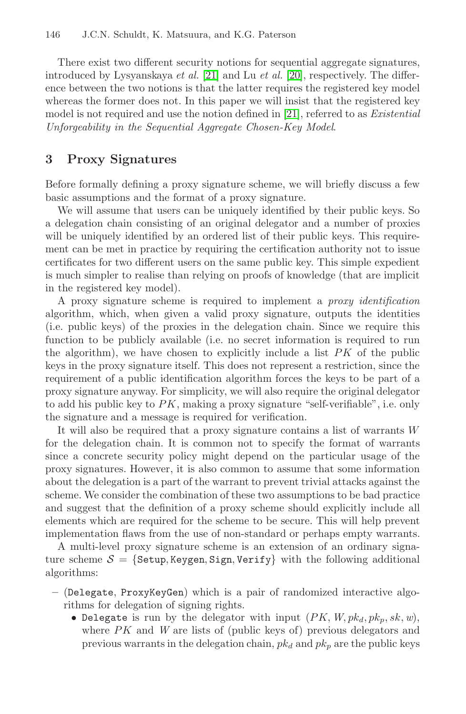There exist two different security notions for sequential aggregate signatures, introduced by Lysyanskaya *et al.* [\[21\]](#page-16-13) and Lu *et al.* [\[20\]](#page-16-14), respectively. The difference between the two notions is that the latter requires the registered key model whereas the former does not. In this paper we will insist that the registered key model is not required and use the notion defined in [\[21\]](#page-16-13), referred to as *Existential* Unforgeability in the Sequential Aggregate Chosen-Key Model.

## <span id="page-5-0"></span>**3 Proxy Signatures**

Before formally defining a proxy signature scheme, we will briefly discuss a few basic assumptions and the format of a proxy signature.

We will assume that users can be uniquely identified by their public keys. So a delegation chain consisting of an original delegator and a number of proxies will be uniquely identified by an ordered list of their public keys. This requirement can be met in practice by requiring the certification authority not to issue certificates for two different users on the same public key. This simple expedient is much simpler to realise than relying on proofs of knowledge (that are implicit in the registered key model).

A proxy signature scheme is required to implement a proxy identification algorithm, which, when given a valid proxy signature, outputs the identities (i.e. public keys) of the proxies in the delegation chain. Since we require this function to be publicly available (i.e. no secret information is required to run the algorithm), we have chosen to explicitly include a list  $PK$  of the public keys in the proxy signature itself. This does not represent a restriction, since the requirement of a public identification algorithm forces the keys to be part of a proxy signature anyway. For simplicity, we will also require the original delegator to add his public key to  $PK$ , making a proxy signature "self-verifiable", i.e. only the signature and a message is required for verification.

It will also be required that a proxy signature contains a list of warrants W for the delegation chain. It is common not to specify the format of warrants since a concrete security policy might depend on the particular usage of the proxy signatures. However, it is also common to assume that some information about the delegation is a part of the warrant to prevent trivial attacks against the scheme. We consider the combination of these two assumptions to be bad practice and suggest that the definition of a proxy scheme should explicitly include all elements which are required for the scheme to be secure. This will help prevent implementation flaws from the use of non-standard or perhaps empty warrants.

A multi-level proxy signature scheme is an extension of an ordinary signature scheme  $S = \{$ Setup, Keygen, Sign, Verify with the following additional algorithms:

- **–** (Delegate, ProxyKeyGen) which is a pair of randomized interactive algorithms for delegation of signing rights.
	- Delegate is run by the delegator with input  $(PK, W, pk_d, pk_p, sk, w)$ , where  $PK$  and  $W$  are lists of (public keys of) previous delegators and previous warrants in the delegation chain,  $pk_d$  and  $pk_p$  are the public keys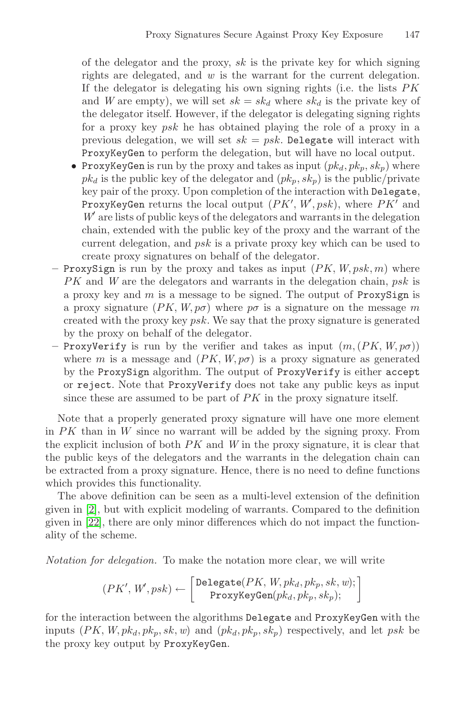of the delegator and the proxy,  $sk$  is the private key for which signing rights are delegated, and  $w$  is the warrant for the current delegation. If the delegator is delegating his own signing rights (i.e. the lists  $PK$ and W are empty), we will set  $sk = sk_d$  where  $sk_d$  is the private key of the delegator itself. However, if the delegator is delegating signing rights for a proxy key psk he has obtained playing the role of a proxy in a previous delegation, we will set  $sk = psk$ . Delegate will interact with ProxyKeyGen to perform the delegation, but will have no local output.

- ProxyKeyGen is run by the proxy and takes as input  $(pk_d, pk_p, sk_p)$  where  $pk_d$  is the public key of the delegator and  $(pk_p, sk_p)$  is the public/private key pair of the proxy. Upon completion of the interaction with Delegate, ProxyKeyGen returns the local output  $(PK',\,W', psk),$  where  $PK'$  and  $W'$  are lists of public keys of the delegators and warrants in the delegation chain, extended with the public key of the proxy and the warrant of the current delegation, and psk is a private proxy key which can be used to create proxy signatures on behalf of the delegator.
- **–** ProxySign is run by the proxy and takes as input (PK, W, psk, m) where PK and W are the delegators and warrants in the delegation chain, psk is a proxy key and  $m$  is a message to be signed. The output of ProxySign is a proxy signature  $(PK, W, p\sigma)$  where  $p\sigma$  is a signature on the message m created with the proxy key  $psk$ . We say that the proxy signature is generated by the proxy on behalf of the delegator.
- **–** ProxyVerify is run by the verifier and takes as input  $(m,(PK, W, p\sigma))$ where m is a message and  $(PK, W, p\sigma)$  is a proxy signature as generated by the ProxySign algorithm. The output of ProxyVerify is either accept or reject. Note that ProxyVerify does not take any public keys as input since these are assumed to be part of  $PK$  in the proxy signature itself.

Note that a properly generated proxy signature will have one more element in  $PK$  than in  $W$  since no warrant will be added by the signing proxy. From the explicit inclusion of both  $PK$  and  $W$  in the proxy signature, it is clear that the public keys of the delegators and the warrants in the delegation chain can be extracted from a proxy signature. Hence, there is no need to define functions which provides this functionality.

The above definition can be seen as a multi-level extension of the definition given in [\[2\]](#page-15-0), but with explicit modeling of warrants. Compared to the definition given in [\[22\]](#page-16-11), there are only minor differences which do not impact the functionality of the scheme.

Notation for delegation. To make the notation more clear, we will write

$$
(PK', W', psk) \leftarrow \begin{bmatrix} \texttt{Delete}(PK, W, pk_d, pk_p, sk, w); \\ \texttt{ProxyKeyGen}(pk_d, pk_p, sk_p); \end{bmatrix}
$$

for the interaction between the algorithms Delegate and ProxyKeyGen with the inputs  $(PK, W, p k_d, p k_p, sk, w)$  and  $(p k_d, p k_p, sk_p)$  respectively, and let psk be the proxy key output by ProxyKeyGen.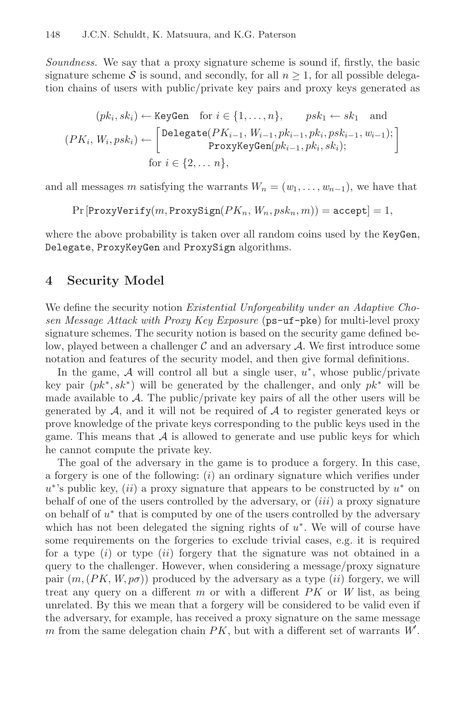Soundness. We say that a proxy signature scheme is sound if, firstly, the basic signature scheme S is sound, and secondly, for all  $n \geq 1$ , for all possible delegation chains of users with public/private key pairs and proxy keys generated as

$$
(pk_i, sk_i) \leftarrow \text{KeyGen} \quad \text{for } i \in \{1, \dots, n\}, \qquad psk_1 \leftarrow sk_1 \quad \text{and}
$$
\n
$$
(PK_i, W_i, psk_i) \leftarrow \begin{bmatrix} \text{Delegate}(PK_{i-1}, W_{i-1}, pk_{i-1}, pk_i, psk_{i-1}, w_{i-1});\\ \text{ProxyKeyGen}(pk_{i-1}, pk_i, sk_i);\\ \text{for } i \in \{2, \dots, n\}, \end{bmatrix}
$$

and all messages m satisfying the warrants  $W_n = (w_1, \ldots, w_{n-1})$ , we have that

 $Pr[ProxyVerify(m, Proxysign(PK_n, W_n, psk_n, m)) = accept] = 1,$ 

where the above probability is taken over all random coins used by the KeyGen, Delegate, ProxyKeyGen and ProxySign algorithms.

#### <span id="page-7-0"></span>**4 Security Model**

We define the security notion *Existential Unforgeability under an Adaptive Cho*sen Message Attack with Proxy Key Exposure (ps-uf-pke) for multi-level proxy signature schemes. The security notion is based on the security game defined below, played between a challenger  $\mathcal C$  and an adversary  $\mathcal A$ . We first introduce some notation and features of the security model, and then give formal definitions.

In the game,  $A$  will control all but a single user,  $u^*$ , whose public/private key pair  $(pk^*, sk^*)$  will be generated by the challenger, and only  $pk^*$  will be made available to  $\mathcal A$ . The public/private key pairs of all the other users will be generated by  $A$ , and it will not be required of  $A$  to register generated keys or prove knowledge of the private keys corresponding to the public keys used in the game. This means that  $A$  is allowed to generate and use public keys for which he cannot compute the private key.

The goal of the adversary in the game is to produce a forgery. In this case, a forgery is one of the following:  $(i)$  an ordinary signature which verifies under  $u^*$ 's public key,  $(ii)$  a proxy signature that appears to be constructed by  $u^*$  on behalf of one of the users controlled by the adversary, or  $(iii)$  a proxy signature on behalf of  $u^*$  that is computed by one of the users controlled by the adversary which has not been delegated the signing rights of  $u^*$ . We will of course have some requirements on the forgeries to exclude trivial cases, e.g. it is required for a type  $(i)$  or type  $(ii)$  forgery that the signature was not obtained in a query to the challenger. However, when considering a message/proxy signature pair  $(m,(PK, W, p\sigma))$  produced by the adversary as a type  $(ii)$  forgery, we will treat any query on a different  $m$  or with a different  $PK$  or  $W$  list, as being unrelated. By this we mean that a forgery will be considered to be valid even if the adversary, for example, has received a proxy signature on the same message m from the same delegation chain  $PK$ , but with a different set of warrants  $W'$ .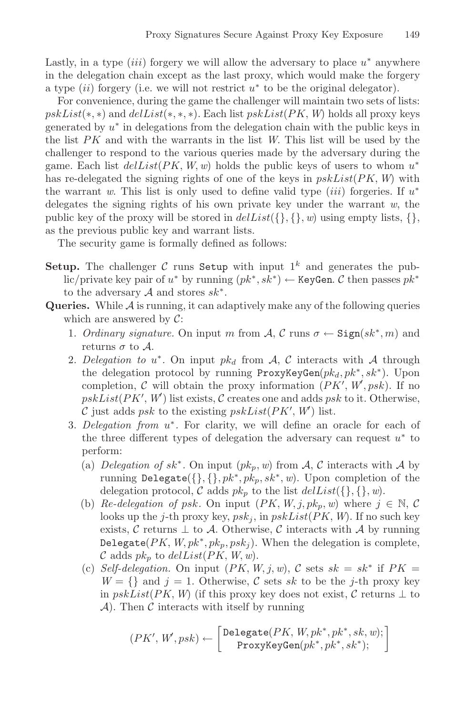Lastly, in a type  $(iii)$  forgery we will allow the adversary to place  $u^*$  anywhere in the delegation chain except as the last proxy, which would make the forgery a type  $(ii)$  forgery (i.e. we will not restrict  $u^*$  to be the original delegator).

For convenience, during the game the challenger will maintain two sets of lists:  $pskList(*, *)$  and  $delList(*, *, *)$ . Each list  $pskList(PK, W)$  holds all proxy keys generated by  $u^*$  in delegations from the delegation chain with the public keys in the list  $PK$  and with the warrants in the list  $W$ . This list will be used by the challenger to respond to the various queries made by the adversary during the game. Each list  $delList(PK, W, w)$  holds the public keys of users to whom  $u^*$ has re-delegated the signing rights of one of the keys in  $pskList(PK, W)$  with the warrant w. This list is only used to define valid type  $(iii)$  forgeries. If  $u^*$ delegates the signing rights of his own private key under the warrant  $w$ , the public key of the proxy will be stored in  $delList({},\{},\{),w)$  using empty lists,  $\{\},\$ as the previous public key and warrant lists.

The security game is formally defined as follows:

- **Setup.** The challenger C runs Setup with input  $1^k$  and generates the public/private key pair of  $u^*$  by running  $(pk^*, sk^*) \leftarrow$  KeyGen. C then passes  $pk^*$ to the adversary  $A$  and stores  $sk^*$ .
- **Queries.** While  $\mathcal A$  is running, it can adaptively make any of the following queries which are answered by  $\mathcal{C}$ :
	- 1. Ordinary signature. On input m from A, C runs  $\sigma \leftarrow \text{Sign}(sk^*, m)$  and returns  $\sigma$  to  $\mathcal{A}$ .
	- 2. Delegation to  $u^*$ . On input  $pk_d$  from A, C interacts with A through the delegation protocol by running ProxyKeyGen $(pk_d, pk^*, sk^*)$ . Upon completion, C will obtain the proxy information  $(PK', W', psk)$ . If no  $pskList(PK', W')$  list exists, C creates one and adds  $psk$  to it. Otherwise, C just adds psk to the existing  $pskList(PK', W')$  list.
	- 3. Delegation from u<sup>∗</sup>. For clarity, we will define an oracle for each of the three different types of delegation the adversary can request  $u^*$  to perform:
		- (a) Delegation of sk<sup>\*</sup>. On input  $(pk_p, w)$  from A, C interacts with A by running Delegate({}, {},  $pk^*$ ,  $pk_p$ ,  $sk^*$ , w). Upon completion of the delegation protocol, C adds  $pk_p$  to the list  $delList({}, \{ \}, \{ \}, w)$ .
		- (b) Re-delegation of psk. On input  $(PK, W, j, pk_p, w)$  where  $j \in \mathbb{N}, C$ looks up the j-th proxy key,  $psk_i$ , in  $pskList(PK, W)$ . If no such key exists, C returns  $\perp$  to A. Otherwise, C interacts with A by running Delegate( $PK, W, pk^*, pk_p, psk_j$ ). When the delegation is complete, C adds  $pk_p$  to  $delList(PK, W, w)$ .
		- (c) Self-delegation. On input  $(PK, W, j, w)$ , C sets  $sk = sk^*$  if  $PK =$  $W = \{\}\$ and  $j = 1$ . Otherwise, C sets sk to be the j-th proxy key in  $pskList(PK, W)$  (if this proxy key does not exist, C returns  $\perp$  to  $\mathcal{A}$ ). Then C interacts with itself by running

$$
(PK', W, psk) \leftarrow \begin{bmatrix} \texttt{Delegate}(PK, W, pk^*, pk^*, sk, w); \\ \texttt{ProxyKeyGen}(pk^*, pk^*, sk^*); \end{bmatrix}
$$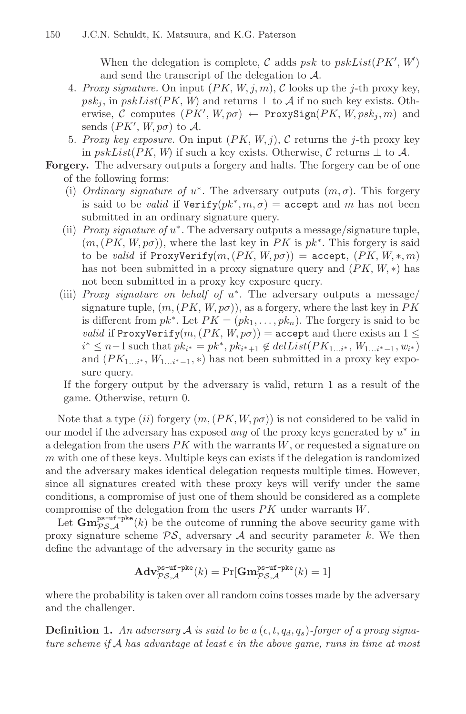When the delegation is complete, C adds psk to  $pskList(PK', W')$ and send the transcript of the delegation to A.

- 4. Proxy signature. On input  $(PK, W, j, m)$ , C looks up the j-th proxy key,  $psk_j$ , in  $pskList(PK, W)$  and returns  $\perp$  to  $\mathcal A$  if no such key exists. Otherwise, C computes  $(PK', W, p\sigma) \leftarrow \text{ProxySign}(PK, W, psk_j, m)$  and sends  $(PK', W, p\sigma)$  to A.
- 5. Proxy key exposure. On input  $(PK, W, j)$ , C returns the j-th proxy key in pskList(PK, W) if such a key exists. Otherwise,  $\mathcal C$  returns  $\perp$  to  $\mathcal A$ .
- **Forgery.** The adversary outputs a forgery and halts. The forgery can be of one of the following forms:
	- (i) Ordinary signature of  $u^*$ . The adversary outputs  $(m, \sigma)$ . This forgery is said to be *valid* if  $Verify(pk^*, m, \sigma) = accept$  and m has not been submitted in an ordinary signature query.
	- (ii) *Proxy signature of u<sup>\*</sup>*. The adversary outputs a message/signature tuple,  $(m,(PK, W, p\sigma))$ , where the last key in PK is pk<sup>\*</sup>. This forgery is said to be valid if ProxyVerify $(m,(PK, W, p\sigma)) =$  accept,  $(PK, W, *, m)$ has not been submitted in a proxy signature query and  $(PK, W, *)$  has not been submitted in a proxy key exposure query.
	- (iii) Proxy signature on behalf of  $u^*$ . The adversary outputs a message/ signature tuple,  $(m,(PK, W, p\sigma))$ , as a forgery, where the last key in PK is different from  $pk^*$ . Let  $PK = (pk_1, \ldots, pk_n)$ . The forgery is said to be *valid* if ProxyVerify $(m,(PK, W, p\sigma))$  = accept and there exists an  $1 \leq$  $i^* \leq n-1$  such that  $pk_{i^*} = pk^*$ ,  $pk_{i^*+1} \notin delList(PK_{1...i^*}, W_{1...i^*-1}, w_{i^*})$ and  $(PK_{1...i^*}, W_{1...i^*-1}, *)$  has not been submitted in a proxy key exposure query.

If the forgery output by the adversary is valid, return 1 as a result of the game. Otherwise, return 0.

Note that a type (ii) forgery  $(m,(PK, W, p\sigma))$  is not considered to be valid in our model if the adversary has exposed *any* of the proxy keys generated by  $u^*$  in a delegation from the users  $PK$  with the warrants  $W$ , or requested a signature on m with one of these keys. Multiple keys can exists if the delegation is randomized and the adversary makes identical delegation requests multiple times. However, since all signatures created with these proxy keys will verify under the same conditions, a compromise of just one of them should be considered as a complete compromise of the delegation from the users  $PK$  under warrants  $W$ .

Let  $\mathbf{Gm}_{PS,A}^{\mathbf{ps}-\mathbf{uf}-\mathbf{pk}\mathbf{e}}(k)$  be the outcome of running the above security game with proxy signature scheme  $\mathcal{PS}$ , adversary  $\mathcal A$  and security parameter k. We then define the advantage of the adversary in the security game as

$$
\mathbf{Adv}_{\mathcal{PS},\mathcal{A}}^{\mathsf{ps-uf-pke}}(k) = \Pr[\mathbf{Gm}_{\mathcal{PS},\mathcal{A}}^{\mathsf{ps-uf-pke}}(k) = 1]
$$

<span id="page-9-0"></span>where the probability is taken over all random coins tosses made by the adversary and the challenger.

**Definition 1.** An adversary A is said to be a  $(\epsilon, t, q_d, q_s)$ -forger of a proxy signature scheme if A has advantage at least  $\epsilon$  in the above game, runs in time at most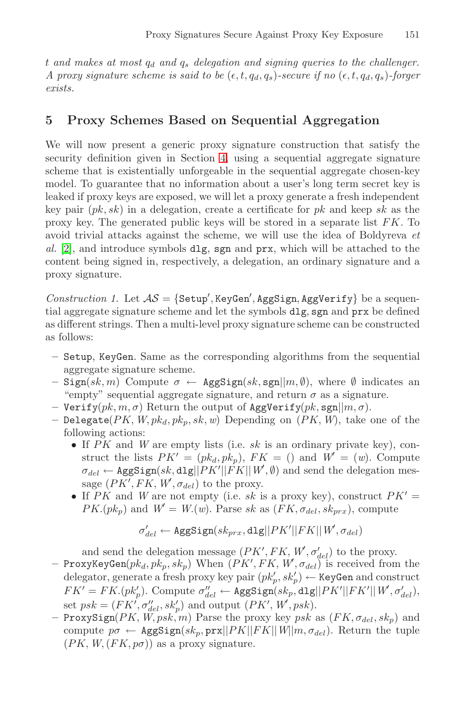t and makes at most  $q_d$  and  $q_s$  delegation and signing queries to the challenger. A proxy signature scheme is said to be  $(\epsilon, t, q_d, q_s)$ -secure if no  $(\epsilon, t, q_d, q_s)$ -forger exists.

# <span id="page-10-0"></span>**5 Proxy Schemes Based on Sequential Aggregation**

We will now present a generic proxy signature construction that satisfy the security definition given in Section [4,](#page-7-0) using a sequential aggregate signature scheme that is existentially unforgeable in the sequential aggregate chosen-key model. To guarantee that no information about a user's long term secret key is leaked if proxy keys are exposed, we will let a proxy generate a fresh independent key pair  $(pk, sk)$  in a delegation, create a certificate for pk and keep sk as the proxy key. The generated public keys will be stored in a separate list FK. To avoid trivial attacks against the scheme, we will use the idea of Boldyreva et al. [\[2\]](#page-15-0), and introduce symbols  $d\text{lg}$ , sgn and prx, which will be attached to the content being signed in, respectively, a delegation, an ordinary signature and a proxy signature.

Construction 1. Let  $AS = \{$ Setup', KeyGen', AggSign, AggVerify} be a sequential aggregate signature scheme and let the symbols dlg, sgn and prx be defined as different strings. Then a multi-level proxy signature scheme can be constructed as follows:

- **–** Setup, KeyGen. Same as the corresponding algorithms from the sequential aggregate signature scheme.
- **–** Sign(sk, m) Compute  $\sigma \leftarrow$  AggSign(sk, sgn||m, Ø), where Ø indicates an "empty" sequential aggregate signature, and return  $\sigma$  as a signature.
- **–** Verify( $pk, m, \sigma$ ) Return the output of AggVerify( $pk$ , sgn $\vert m, \sigma$ ).
- $-$  Delegate( $PK, W, pk_d, pk_p, sk, w$ ) Depending on  $(PK, W)$ , take one of the following actions:
	- If  $PK$  and W are empty lists (i.e.  $sk$  is an ordinary private key), construct the lists  $PK' = (pk_d, pk_p)$ ,  $FK = ()$  and  $W' = (w)$ . Compute  $\sigma_{del} \leftarrow \texttt{AggSign}(sk, \texttt{alg} || PK' || FK || W', \emptyset)$  and send the delegation message  $(PK', FK, W', \sigma_{del})$  to the proxy.
	- If PK and W are not empty (i.e. sk is a proxy key), construct  $PK' =$  $PK.(pk_p)$  and  $W' = W.(w)$ . Parse sk as  $(FK, \sigma_{del}, sk_{prx})$ , compute

$$
\sigma'_{del} \leftarrow \texttt{AggSign}(sk_{prx}, \texttt{dlg} || PK' || FK || W', \sigma_{del})
$$

and send the delegation message  $(PK', FK, W', \sigma'_{del})$  to the proxy.

- $-$  ProxyKeyGen( $pk_d, pk_p, sk_p$ ) When  $(PK', FK, W', \sigma_{del})$  is received from the delegator, generate a fresh proxy key pair  $(\mathit{pk}_p', \mathit{sk}_p') \leftarrow$  KeyGen and construct  $FK' = FK.(pk'_p)$ . Compute  $\sigma''_{del} \leftarrow \texttt{AggSign}(sk_p, \texttt{dlg} || PK'||FK'||W', \sigma'_{del}),$ set  $psk = (FK', \sigma''_{del}, sk'_{p})$  and output  $(PK', W', psk)$ .
- **–** ProxySign( $PK$ ,  $\overline{W}$ ,  $psk$ ,  $m$ ) Parse the proxy key psk as  $(FK, \sigma_{del}, sk_p)$  and compute  $p\sigma \leftarrow \text{AggSign}(sk_p, \text{prx}||PK||FK||W||m, \sigma_{del})$ . Return the tuple  $(PK, W, (FK, p\sigma))$  as a proxy signature.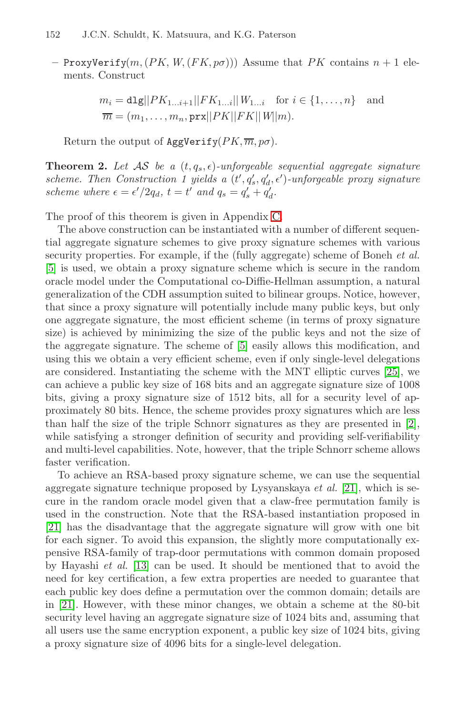**–** ProxyVerify $(m,(PK, W, (FK, p\sigma)))$  Assume that PK contains  $n+1$  elements. Construct

> $m_i = \text{dlg}||PK_{1...i+1}||FK_{1...i}||W_{1...i}$  for  $i \in \{1,...,n\}$  and  $\overline{m} = (m_1,\ldots,m_n,\texttt{prx}||PK||FK||W||m).$

Return the output of  $\text{AggVerify}(PK, \overline{m}, p\sigma)$ .

<span id="page-11-0"></span>**Theorem 2.** Let AS be a  $(t, q_s, \epsilon)$ -unforgeable sequential aggregate signature scheme. Then Construction 1 yields a  $(t', q'_s, q'_d, \epsilon')$ -unforgeable proxy signature scheme where  $\epsilon = \epsilon'/2q_d$ ,  $t = t'$  and  $q_s = q'_s + q'_d$ .

The proof of this theorem is given in Appendix [C.](#page-18-0)

The above construction can be instantiated with a number of different sequential aggregate signature schemes to give proxy signature schemes with various security properties. For example, if the (fully aggregate) scheme of Boneh *et al.* [\[5\]](#page-15-3) is used, we obtain a proxy signature scheme which is secure in the random oracle model under the Computational co-Diffie-Hellman assumption, a natural generalization of the CDH assumption suited to bilinear groups. Notice, however, that since a proxy signature will potentially include many public keys, but only one aggregate signature, the most efficient scheme (in terms of proxy signature size) is achieved by minimizing the size of the public keys and not the size of the aggregate signature. The scheme of [\[5\]](#page-15-3) easily allows this modification, and using this we obtain a very efficient scheme, even if only single-level delegations are considered. Instantiating the scheme with the MNT elliptic curves [\[25\]](#page-16-15), we can achieve a public key size of 168 bits and an aggregate signature size of 1008 bits, giving a proxy signature size of 1512 bits, all for a security level of approximately 80 bits. Hence, the scheme provides proxy signatures which are less than half the size of the triple Schnorr signatures as they are presented in [\[2\]](#page-15-0), while satisfying a stronger definition of security and providing self-verifiability and multi-level capabilities. Note, however, that the triple Schnorr scheme allows faster verification.

To achieve an RSA-based proxy signature scheme, we can use the sequential aggregate signature technique proposed by Lysyanskaya et al.  $[21]$ , which is secure in the random oracle model given that a claw-free permutation family is used in the construction. Note that the RSA-based instantiation proposed in [\[21\]](#page-16-13) has the disadvantage that the aggregate signature will grow with one bit for each signer. To avoid this expansion, the slightly more computationally expensive RSA-family of trap-door permutations with common domain proposed by Hayashi et al. [\[13\]](#page-15-8) can be used. It should be mentioned that to avoid the need for key certification, a few extra properties are needed to guarantee that each public key does define a permutation over the common domain; details are in [\[21\]](#page-16-13). However, with these minor changes, we obtain a scheme at the 80-bit security level having an aggregate signature size of 1024 bits and, assuming that all users use the same encryption exponent, a public key size of 1024 bits, giving a proxy signature size of 4096 bits for a single-level delegation.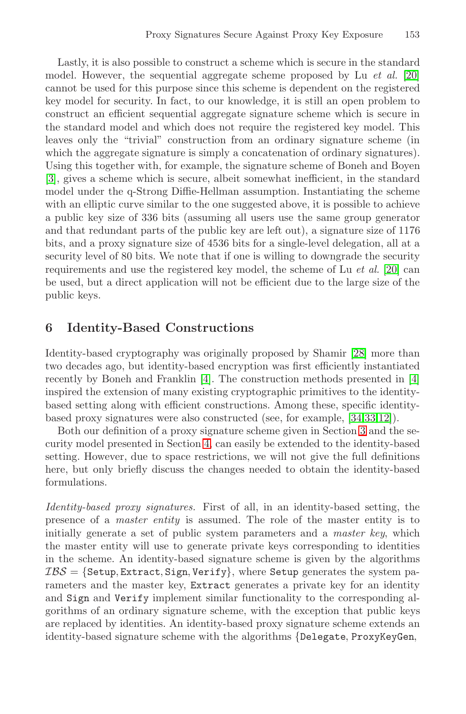Lastly, it is also possible to construct a scheme which is secure in the standard model. However, the sequential aggregate scheme proposed by Lu et al. [\[20\]](#page-16-14) cannot be used for this purpose since this scheme is dependent on the registered key model for security. In fact, to our knowledge, it is still an open problem to construct an efficient sequential aggregate signature scheme which is secure in the standard model and which does not require the registered key model. This leaves only the "trivial" construction from an ordinary signature scheme (in which the aggregate signature is simply a concatenation of ordinary signatures). Using this together with, for example, the signature scheme of Boneh and Boyen [\[3\]](#page-15-9), gives a scheme which is secure, albeit somewhat inefficient, in the standard model under the q-Strong Diffie-Hellman assumption. Instantiating the scheme with an elliptic curve similar to the one suggested above, it is possible to achieve a public key size of 336 bits (assuming all users use the same group generator and that redundant parts of the public key are left out), a signature size of 1176 bits, and a proxy signature size of 4536 bits for a single-level delegation, all at a security level of 80 bits. We note that if one is willing to downgrade the security requirements and use the registered key model, the scheme of Lu  $et$  al. [\[20\]](#page-16-14) can be used, but a direct application will not be efficient due to the large size of the public keys.

#### **6 Identity-Based Constructions**

Identity-based cryptography was originally proposed by Shamir [\[28\]](#page-16-16) more than two decades ago, but identity-based encryption was first efficiently instantiated recently by Boneh and Franklin [\[4\]](#page-15-10). The construction methods presented in [\[4\]](#page-15-10) inspired the extension of many existing cryptographic primitives to the identitybased setting along with efficient constructions. Among these, specific identitybased proxy signatures were also constructed (see, for example, [\[34,](#page-16-17)[33,](#page-16-18)[12\]](#page-15-11)).

Both our definition of a proxy signature scheme given in Section [3](#page-5-0) and the security model presented in Section [4,](#page-7-0) can easily be extended to the identity-based setting. However, due to space restrictions, we will not give the full definitions here, but only briefly discuss the changes needed to obtain the identity-based formulations.

Identity-based proxy signatures. First of all, in an identity-based setting, the presence of a master entity is assumed. The role of the master entity is to initially generate a set of public system parameters and a *master key*, which the master entity will use to generate private keys corresponding to identities in the scheme. An identity-based signature scheme is given by the algorithms  $\mathcal{IBS} = \{\texttt{Setup}, \texttt{Extract}, \texttt{Sign}, \texttt{Verify}\},$  where  $\texttt{Setup}$  generates the system parameters and the master key, Extract generates a private key for an identity and Sign and Verify implement similar functionality to the corresponding algorithms of an ordinary signature scheme, with the exception that public keys are replaced by identities. An identity-based proxy signature scheme extends an identity-based signature scheme with the algorithms {Delegate, ProxyKeyGen,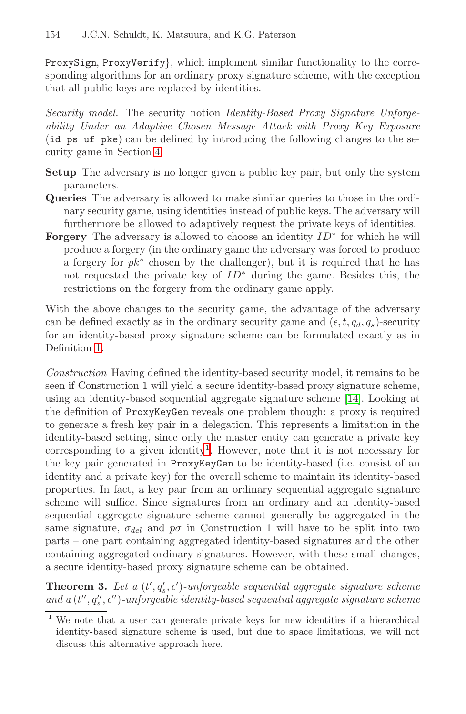ProxySign, ProxyVerify, which implement similar functionality to the corresponding algorithms for an ordinary proxy signature scheme, with the exception that all public keys are replaced by identities.

Security model. The security notion Identity-Based Proxy Signature Unforgeability Under an Adaptive Chosen Message Attack with Proxy Key Exposure (id-ps-uf-pke) can be defined by introducing the following changes to the security game in Section [4:](#page-7-0)

- **Setup** The adversary is no longer given a public key pair, but only the system parameters.
- **Queries** The adversary is allowed to make similar queries to those in the ordinary security game, using identities instead of public keys. The adversary will furthermore be allowed to adaptively request the private keys of identities.
- **Forgery** The adversary is allowed to choose an identity ID<sup>∗</sup> for which he will produce a forgery (in the ordinary game the adversary was forced to produce a forgery for  $pk^*$  chosen by the challenger), but it is required that he has not requested the private key of ID<sup>∗</sup> during the game. Besides this, the restrictions on the forgery from the ordinary game apply.

With the above changes to the security game, the advantage of the adversary can be defined exactly as in the ordinary security game and  $(\epsilon, t, q_d, q_s)$ -security for an identity-based proxy signature scheme can be formulated exactly as in Definition [1.](#page-9-0)

Construction Having defined the identity-based security model, it remains to be seen if Construction 1 will yield a secure identity-based proxy signature scheme, using an identity-based sequential aggregate signature scheme [\[14\]](#page-15-12). Looking at the definition of ProxyKeyGen reveals one problem though: a proxy is required to generate a fresh key pair in a delegation. This represents a limitation in the identity-based setting, since only the master entity can generate a private key corresponding to a given identity<sup>[1](#page-13-0)</sup>. However, note that it is not necessary for the key pair generated in ProxyKeyGen to be identity-based (i.e. consist of an identity and a private key) for the overall scheme to maintain its identity-based properties. In fact, a key pair from an ordinary sequential aggregate signature scheme will suffice. Since signatures from an ordinary and an identity-based sequential aggregate signature scheme cannot generally be aggregated in the same signature,  $\sigma_{del}$  and  $p\sigma$  in Construction 1 will have to be split into two parts – one part containing aggregated identity-based signatures and the other containing aggregated ordinary signatures. However, with these small changes, a secure identity-based proxy signature scheme can be obtained.

**Theorem 3.** Let a  $(t', q'_s, \epsilon')$ -unforgeable sequential aggregate signature scheme and a  $(t'', q_s'', \epsilon'')$ -unforgeable identity-based sequential aggregate signature scheme

<span id="page-13-0"></span><sup>&</sup>lt;sup>1</sup> We note that a user can generate private keys for new identities if a hierarchical identity-based signature scheme is used, but due to space limitations, we will not discuss this alternative approach here.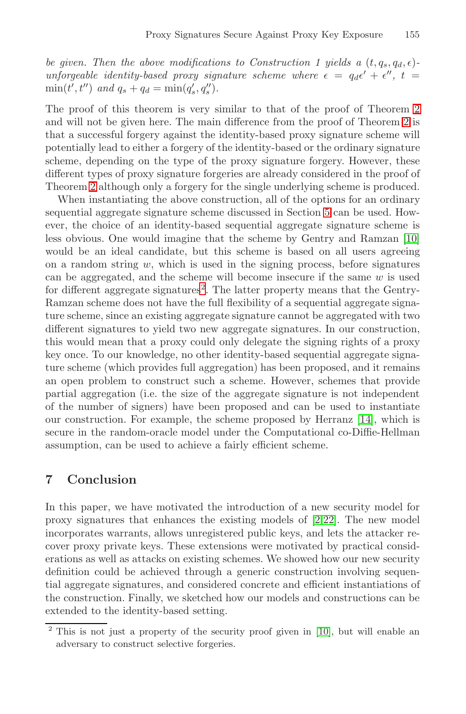be given. Then the above modifications to Construction 1 yields a  $(t, q_s, q_d, \epsilon)$ unforgeable identity-based proxy signature scheme where  $\epsilon = q_d \epsilon' + \epsilon''$ ,  $t =$  $\min(t', t'')$  and  $q_s + q_d = \min(q'_s, q''_s)$ .

The proof of this theorem is very similar to that of the proof of Theorem [2](#page-11-0) and will not be given here. The main difference from the proof of Theorem [2](#page-11-0) is that a successful forgery against the identity-based proxy signature scheme will potentially lead to either a forgery of the identity-based or the ordinary signature scheme, depending on the type of the proxy signature forgery. However, these different types of proxy signature forgeries are already considered in the proof of Theorem [2](#page-11-0) although only a forgery for the single underlying scheme is produced.

When instantiating the above construction, all of the options for an ordinary sequential aggregate signature scheme discussed in Section [5](#page-10-0) can be used. However, the choice of an identity-based sequential aggregate signature scheme is less obvious. One would imagine that the scheme by Gentry and Ramzan [\[10\]](#page-15-13) would be an ideal candidate, but this scheme is based on all users agreeing on a random string  $w$ , which is used in the signing process, before signatures can be aggregated, and the scheme will become insecure if the same  $w$  is used for different aggregate signatures<sup>[2](#page-14-0)</sup>. The latter property means that the Gentry-Ramzan scheme does not have the full flexibility of a sequential aggregate signature scheme, since an existing aggregate signature cannot be aggregated with two different signatures to yield two new aggregate signatures. In our construction, this would mean that a proxy could only delegate the signing rights of a proxy key once. To our knowledge, no other identity-based sequential aggregate signature scheme (which provides full aggregation) has been proposed, and it remains an open problem to construct such a scheme. However, schemes that provide partial aggregation (i.e. the size of the aggregate signature is not independent of the number of signers) have been proposed and can be used to instantiate our construction. For example, the scheme proposed by Herranz [\[14\]](#page-15-12), which is secure in the random-oracle model under the Computational co-Diffie-Hellman assumption, can be used to achieve a fairly efficient scheme.

## **7 Conclusion**

In this paper, we have motivated the introduction of a new security model for proxy signatures that enhances the existing models of [\[2](#page-15-0)[,22\]](#page-16-11). The new model incorporates warrants, allows unregistered public keys, and lets the attacker recover proxy private keys. These extensions were motivated by practical considerations as well as attacks on existing schemes. We showed how our new security definition could be achieved through a generic construction involving sequential aggregate signatures, and considered concrete and efficient instantiations of the construction. Finally, we sketched how our models and constructions can be extended to the identity-based setting.

<span id="page-14-0"></span><sup>2</sup> This is not just a property of the security proof given in [\[10\]](#page-15-13), but will enable an adversary to construct selective forgeries.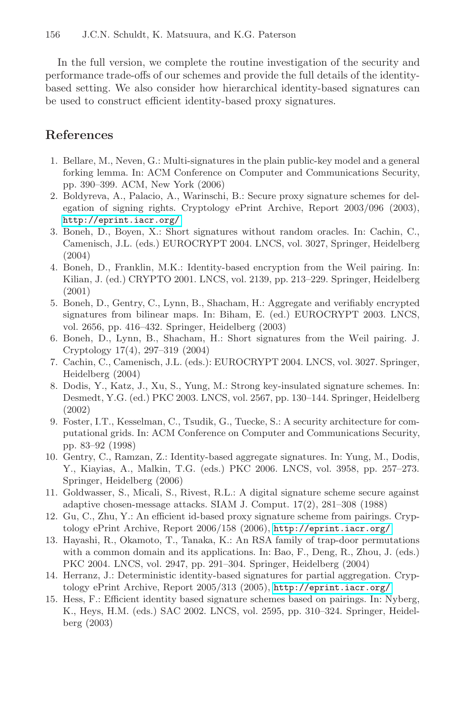In the full version, we complete the routine investigation of the security and performance trade-offs of our schemes and provide the full details of the identitybased setting. We also consider how hierarchical identity-based signatures can be used to construct efficient identity-based proxy signatures.

# <span id="page-15-2"></span>**References**

- 1. Bellare, M., Neven, G.: Multi-signatures in the plain public-key model and a general forking lemma. In: ACM Conference on Computer and Communications Security, pp. 390–399. ACM, New York (2006)
- <span id="page-15-0"></span>2. Boldyreva, A., Palacio, A., Warinschi, B.: Secure proxy signature schemes for delegation of signing rights. Cryptology ePrint Archive, Report 2003/096 (2003), <http://eprint.iacr.org/>
- <span id="page-15-9"></span>3. Boneh, D., Boyen, X.: Short signatures without random oracles. In: Cachin, C., Camenisch, J.L. (eds.) EUROCRYPT 2004. LNCS, vol. 3027, Springer, Heidelberg (2004)
- <span id="page-15-10"></span>4. Boneh, D., Franklin, M.K.: Identity-based encryption from the Weil pairing. In: Kilian, J. (ed.) CRYPTO 2001. LNCS, vol. 2139, pp. 213–229. Springer, Heidelberg (2001)
- <span id="page-15-3"></span>5. Boneh, D., Gentry, C., Lynn, B., Shacham, H.: Aggregate and verifiably encrypted signatures from bilinear maps. In: Biham, E. (ed.) EUROCRYPT 2003. LNCS, vol. 2656, pp. 416–432. Springer, Heidelberg (2003)
- <span id="page-15-4"></span>6. Boneh, D., Lynn, B., Shacham, H.: Short signatures from the Weil pairing. J. Cryptology 17(4), 297–319 (2004)
- 7. Cachin, C., Camenisch, J.L. (eds.): EUROCRYPT 2004. LNCS, vol. 3027. Springer, Heidelberg (2004)
- <span id="page-15-1"></span>8. Dodis, Y., Katz, J., Xu, S., Yung, M.: Strong key-insulated signature schemes. In: Desmedt, Y.G. (ed.) PKC 2003. LNCS, vol. 2567, pp. 130–144. Springer, Heidelberg (2002)
- <span id="page-15-6"></span>9. Foster, I.T., Kesselman, C., Tsudik, G., Tuecke, S.: A security architecture for computational grids. In: ACM Conference on Computer and Communications Security, pp. 83–92 (1998)
- <span id="page-15-13"></span>10. Gentry, C., Ramzan, Z.: Identity-based aggregate signatures. In: Yung, M., Dodis, Y., Kiayias, A., Malkin, T.G. (eds.) PKC 2006. LNCS, vol. 3958, pp. 257–273. Springer, Heidelberg (2006)
- <span id="page-15-7"></span>11. Goldwasser, S., Micali, S., Rivest, R.L.: A digital signature scheme secure against adaptive chosen-message attacks. SIAM J. Comput. 17(2), 281–308 (1988)
- <span id="page-15-11"></span>12. Gu, C., Zhu, Y.: An efficient id-based proxy signature scheme from pairings. Cryptology ePrint Archive, Report 2006/158 (2006), <http://eprint.iacr.org/>
- <span id="page-15-8"></span>13. Hayashi, R., Okamoto, T., Tanaka, K.: An RSA family of trap-door permutations with a common domain and its applications. In: Bao, F., Deng, R., Zhou, J. (eds.) PKC 2004. LNCS, vol. 2947, pp. 291–304. Springer, Heidelberg (2004)
- <span id="page-15-12"></span>14. Herranz, J.: Deterministic identity-based signatures for partial aggregation. Cryptology ePrint Archive, Report 2005/313 (2005), <http://eprint.iacr.org/>
- <span id="page-15-5"></span>15. Hess, F.: Efficient identity based signature schemes based on pairings. In: Nyberg, K., Heys, H.M. (eds.) SAC 2002. LNCS, vol. 2595, pp. 310–324. Springer, Heidelberg (2003)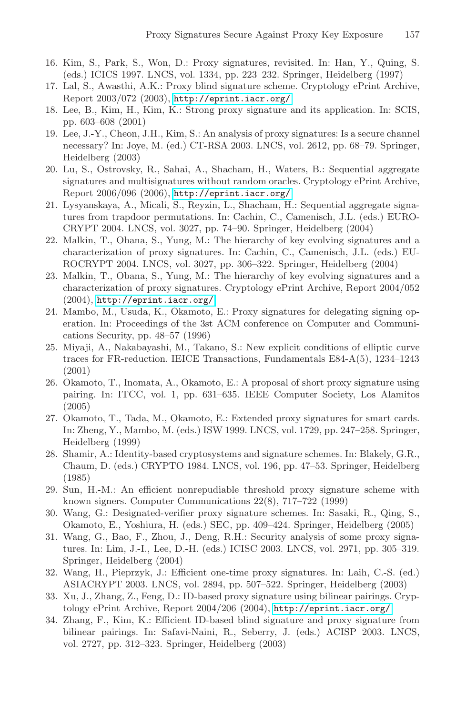- <span id="page-16-1"></span>16. Kim, S., Park, S., Won, D.: Proxy signatures, revisited. In: Han, Y., Quing, S. (eds.) ICICS 1997. LNCS, vol. 1334, pp. 223–232. Springer, Heidelberg (1997)
- <span id="page-16-8"></span>17. Lal, S., Awasthi, A.K.: Proxy blind signature scheme. Cryptology ePrint Archive, Report 2003/072 (2003), <http://eprint.iacr.org/>
- <span id="page-16-3"></span>18. Lee, B., Kim, H., Kim, K.: Strong proxy signature and its application. In: SCIS, pp. 603–608 (2001)
- <span id="page-16-4"></span>19. Lee, J.-Y., Cheon, J.H., Kim, S.: An analysis of proxy signatures: Is a secure channel necessary? In: Joye, M. (ed.) CT-RSA 2003. LNCS, vol. 2612, pp. 68–79. Springer, Heidelberg (2003)
- <span id="page-16-14"></span>20. Lu, S., Ostrovsky, R., Sahai, A., Shacham, H., Waters, B.: Sequential aggregate signatures and multisignatures without random oracles. Cryptology ePrint Archive, Report 2006/096 (2006), <http://eprint.iacr.org/>
- <span id="page-16-13"></span>21. Lysyanskaya, A., Micali, S., Reyzin, L., Shacham, H.: Sequential aggregate signatures from trapdoor permutations. In: Cachin, C., Camenisch, J.L. (eds.) EURO-CRYPT 2004. LNCS, vol. 3027, pp. 74–90. Springer, Heidelberg (2004)
- <span id="page-16-11"></span>22. Malkin, T., Obana, S., Yung, M.: The hierarchy of key evolving signatures and a characterization of proxy signatures. In: Cachin, C., Camenisch, J.L. (eds.) EU-ROCRYPT 2004. LNCS, vol. 3027, pp. 306–322. Springer, Heidelberg (2004)
- <span id="page-16-12"></span>23. Malkin, T., Obana, S., Yung, M.: The hierarchy of key evolving signatures and a characterization of proxy signatures. Cryptology ePrint Archive, Report 2004/052 (2004), <http://eprint.iacr.org/>
- <span id="page-16-0"></span>24. Mambo, M., Usuda, K., Okamoto, E.: Proxy signatures for delegating signing operation. In: Proceedings of the 3st ACM conference on Computer and Communications Security, pp. 48–57 (1996)
- <span id="page-16-15"></span>25. Miyaji, A., Nakabayashi, M., Takano, S.: New explicit conditions of elliptic curve traces for FR-reduction. IEICE Transactions, Fundamentals E84-A(5), 1234–1243 (2001)
- <span id="page-16-5"></span>26. Okamoto, T., Inomata, A., Okamoto, E.: A proposal of short proxy signature using pairing. In: ITCC, vol. 1, pp. 631–635. IEEE Computer Society, Los Alamitos (2005)
- <span id="page-16-2"></span>27. Okamoto, T., Tada, M., Okamoto, E.: Extended proxy signatures for smart cards. In: Zheng, Y., Mambo, M. (eds.) ISW 1999. LNCS, vol. 1729, pp. 247–258. Springer, Heidelberg (1999)
- <span id="page-16-16"></span>28. Shamir, A.: Identity-based cryptosystems and signature schemes. In: Blakely, G.R., Chaum, D. (eds.) CRYPTO 1984. LNCS, vol. 196, pp. 47–53. Springer, Heidelberg (1985)
- <span id="page-16-7"></span>29. Sun, H.-M.: An efficient nonrepudiable threshold proxy signature scheme with known signers. Computer Communications 22(8), 717–722 (1999)
- <span id="page-16-9"></span>30. Wang, G.: Designated-verifier proxy signature schemes. In: Sasaki, R., Qing, S., Okamoto, E., Yoshiura, H. (eds.) SEC, pp. 409–424. Springer, Heidelberg (2005)
- <span id="page-16-10"></span>31. Wang, G., Bao, F., Zhou, J., Deng, R.H.: Security analysis of some proxy signatures. In: Lim, J.-I., Lee, D.-H. (eds.) ICISC 2003. LNCS, vol. 2971, pp. 305–319. Springer, Heidelberg (2004)
- <span id="page-16-6"></span>32. Wang, H., Pieprzyk, J.: Efficient one-time proxy signatures. In: Laih, C.-S. (ed.) ASIACRYPT 2003. LNCS, vol. 2894, pp. 507–522. Springer, Heidelberg (2003)
- <span id="page-16-18"></span>33. Xu, J., Zhang, Z., Feng, D.: ID-based proxy signature using bilinear pairings. Cryptology ePrint Archive, Report 2004/206 (2004), <http://eprint.iacr.org/>
- <span id="page-16-17"></span>34. Zhang, F., Kim, K.: Efficient ID-based blind signature and proxy signature from bilinear pairings. In: Safavi-Naini, R., Seberry, J. (eds.) ACISP 2003. LNCS, vol. 2727, pp. 312–323. Springer, Heidelberg (2003)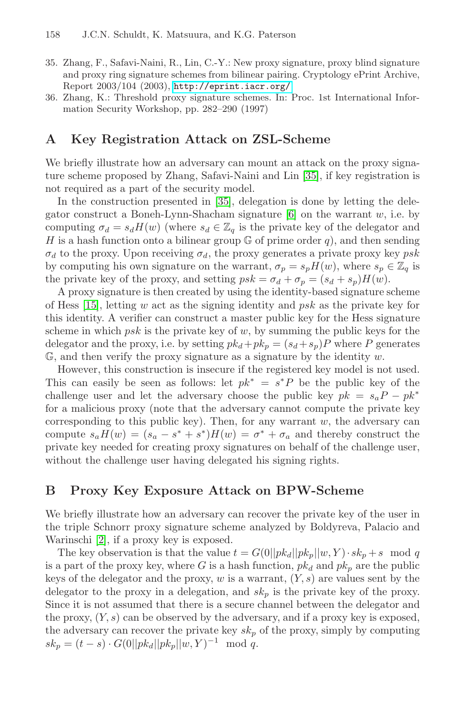- <span id="page-17-0"></span>35. Zhang, F., Safavi-Naini, R., Lin, C.-Y.: New proxy signature, proxy blind signature and proxy ring signature schemes from bilinear pairing. Cryptology ePrint Archive, Report 2003/104 (2003), <http://eprint.iacr.org/>
- <span id="page-17-1"></span>36. Zhang, K.: Threshold proxy signature schemes. In: Proc. 1st International Information Security Workshop, pp. 282–290 (1997)

# <span id="page-17-2"></span>**A Key Registration Attack on ZSL-Scheme**

We briefly illustrate how an adversary can mount an attack on the proxy signature scheme proposed by Zhang, Safavi-Naini and Lin [\[35\]](#page-17-0), if key registration is not required as a part of the security model.

In the construction presented in [\[35\]](#page-17-0), delegation is done by letting the delegator construct a Boneh-Lynn-Shacham signature  $|6|$  on the warrant w, i.e. by computing  $\sigma_d = s_d H(w)$  (where  $s_d \in \mathbb{Z}_q$  is the private key of the delegator and H is a hash function onto a bilinear group  $\mathbb G$  of prime order q), and then sending  $\sigma_d$  to the proxy. Upon receiving  $\sigma_d$ , the proxy generates a private proxy key psk by computing his own signature on the warrant,  $\sigma_p = s_p H(w)$ , where  $s_p \in \mathbb{Z}_q$  is the private key of the proxy, and setting  $psk = \sigma_d + \sigma_p = (s_d + s_p)H(w)$ .

A proxy signature is then created by using the identity-based signature scheme of Hess [\[15\]](#page-15-5), letting w act as the signing identity and  $psk$  as the private key for this identity. A verifier can construct a master public key for the Hess signature scheme in which *psk* is the private key of  $w$ , by summing the public keys for the delegator and the proxy, i.e. by setting  $pk_d + pk_p = (s_d + s_p)P$  where P generates  $\mathbb{G}$ , and then verify the proxy signature as a signature by the identity w.

However, this construction is insecure if the registered key model is not used. This can easily be seen as follows: let  $pk^* = s^*P$  be the public key of the challenge user and let the adversary choose the public key  $pk = s_aP - pk^*$ for a malicious proxy (note that the adversary cannot compute the private key corresponding to this public key). Then, for any warrant  $w$ , the adversary can compute  $s_a H(w)=(s_a - s^* + s^*)H(w) = \sigma^* + \sigma_a$  and thereby construct the private key needed for creating proxy signatures on behalf of the challenge user, without the challenge user having delegated his signing rights.

## <span id="page-17-3"></span>**B Proxy Key Exposure Attack on BPW-Scheme**

We briefly illustrate how an adversary can recover the private key of the user in the triple Schnorr proxy signature scheme analyzed by Boldyreva, Palacio and Warinschi [\[2\]](#page-15-0), if a proxy key is exposed.

The key observation is that the value  $t = G(0||pk_d||pk_p||w, Y) \cdot sk_p + s \mod q$ is a part of the proxy key, where G is a hash function,  $pk_d$  and  $pk_p$  are the public keys of the delegator and the proxy,  $w$  is a warrant,  $(Y, s)$  are values sent by the delegator to the proxy in a delegation, and  $sk_p$  is the private key of the proxy. Since it is not assumed that there is a secure channel between the delegator and the proxy,  $(Y, s)$  can be observed by the adversary, and if a proxy key is exposed, the adversary can recover the private key  $sk_p$  of the proxy, simply by computing  $sk_p = (t - s) \cdot G(0||pk_d||pk_p||w, Y)^{-1} \mod q.$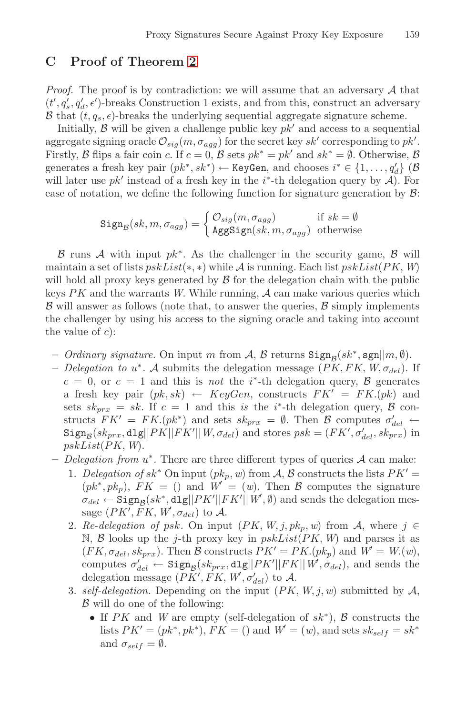## <span id="page-18-0"></span>**C Proof of Theorem [2](#page-11-0)**

*Proof.* The proof is by contradiction: we will assume that an adversary  $A$  that  $(t', q'_s, q'_d, \epsilon')$ -breaks Construction 1 exists, and from this, construct an adversary B that  $(t, q_s, \epsilon)$ -breaks the underlying sequential aggregate signature scheme.

Initially,  $\beta$  will be given a challenge public key  $pk'$  and access to a sequential aggregate signing oracle  $\mathcal{O}_{sig}(m, \sigma_{agg})$  for the secret key sk' corresponding to pk'. Firstly, B flips a fair coin c. If  $c = 0$ , B sets  $pk^* = pk'$  and  $sk^* = \emptyset$ . Otherwise, B generates a fresh key pair  $(pk^*, sk^*) \leftarrow \texttt{KeyGen}$ , and chooses  $i^* \in \{1, \ldots, q_d'\}$  ( $\mathcal{B}$ will later use  $pk'$  instead of a fresh key in the i<sup>\*</sup>-th delegation query by  $A$ ). For ease of notation, we define the following function for signature generation by  $\mathcal{B}$ :

$$
\text{Sign}_{\mathcal{B}}(sk, m, \sigma_{agg}) = \begin{cases} \mathcal{O}_{sig}(m, \sigma_{agg}) & \text{if } sk = \emptyset \\ \text{AggSign}(sk, m, \sigma_{agg}) & \text{otherwise} \end{cases}
$$

B runs A with input  $pk^*$ . As the challenger in the security game, B will maintain a set of lists  $pskList(*, *)$  while A is running. Each list  $pskList(PK, W)$ will hold all proxy keys generated by  $\beta$  for the delegation chain with the public keys  $PK$  and the warrants W. While running,  $A$  can make various queries which  $\beta$  will answer as follows (note that, to answer the queries,  $\beta$  simply implements the challenger by using his access to the signing oracle and taking into account the value of  $c$ :

- $-$  *Ordinary signature.* On input m from  $\mathcal{A}, \mathcal{B}$  returns  $\text{Sign}_{\mathcal{B}}(sk^*, \text{sgn}||m, ∅)$ .
- $−$  *Delegation to u<sup>∗</sup>. A* submits the delegation message (*PK, FK, W,*  $\sigma_{del}$ *)*. If  $c = 0$ , or  $c = 1$  and this is *not* the *i*<sup>\*</sup>-th delegation query,  $\beta$  generates a fresh key pair  $(pk, sk) \leftarrow KeyGen$ , constructs  $FK' = FK.(pk)$  and sets  $sk_{prx} = sk$ . If  $c = 1$  and this is the i<sup>\*</sup>-th delegation query, B constructs  $FK' = FK.(pk^*)$  and sets  $sk_{prx} = \emptyset$ . Then  $\emptyset$  computes  $\sigma'_{del} \leftarrow$  $\text{Sign}_{\mathcal{B}}(sk_{prx}, \text{dlg}||PK||FK'||W, \sigma_{del})$  and stores  $psk = (FK', \sigma'_{del}, sk_{prx})$  in  $pskList(PK, W).$
- **–** Delegation from u∗. There are three different types of queries A can make:
	- 1. Delegation of sk<sup>\*</sup> On input  $(pk_p, w)$  from A, B constructs the lists  $PK' =$  $(pk^*, pk_p)$ ,  $FK = ()$  and  $W = (w)$ . Then B computes the signature  $\sigma_{del} \leftarrow \text{Sign}_{\mathcal{B}}(sk^*, \text{dlg}||PK'||FK'||W', \emptyset)$  and sends the delegation message  $(PK', FK, W', \sigma_{del})$  to A.
	- 2. Re-delegation of psk. On input  $(PK, W, j, pk_p, w)$  from A, where  $j \in$ N, B looks up the j-th proxy key in  $pskList(PK, W)$  and parses it as  $(FK, \sigma_{del}, sk_{prx})$ . Then B constructs  $PK' = PK.(pk_p)$  and  $W' = W.(w)$ , computes  $\sigma'_{del} \leftarrow \text{Sign}_{\mathcal{B}}(sk_{prx}, \text{dlg}||PK'||FK||W, \sigma_{del})$ , and sends the delegation message  $(PK', FK, W', \sigma'_{del})$  to A.
	- 3. self-delegation. Depending on the input  $(PK, W, j, w)$  submitted by  $A$ ,  $\beta$  will do one of the following:
		- If PK and W are empty (self-delegation of  $sk^*$ ), B constructs the lists  $PK' = (pk^*, pk^*)$ ,  $FK = ()$  and  $W' = (w)$ , and sets  $sk_{self} = sk^*$ and  $\sigma_{self} = \emptyset$ .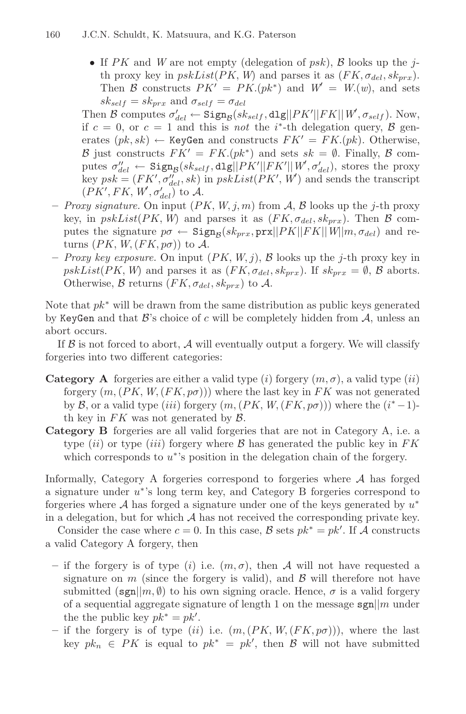• If  $PK$  and W are not empty (delegation of psk),  $\beta$  looks up the jth proxy key in  $pskList(PK, W)$  and parses it as  $(FK, \sigma_{del}, sk_{prx})$ . Then B constructs  $PK' = PK.(pk^*)$  and  $W' = W.(w)$ , and sets  $sk_{self} = sk_{prx}$  and  $\sigma_{self} = \sigma_{del}$ 

Then B computes  $\sigma'_{del} \leftarrow$  Sign<sub>B</sub> $(sk_{self}, \text{dlg} || PK' || FK' || W', \sigma_{self})$ . Now, if  $c = 0$ , or  $c = 1$  and this is *not* the *i*<sup>\*</sup>-th delegation query,  $\beta$  generates  $(pk, sk) \leftarrow \text{KeyGen}$  and constructs  $FK' = FK.(pk)$ . Otherwise, B just constructs  $FK' = FK.(pk^*)$  and sets  $sk = \emptyset$ . Finally, B computes  $\sigma''_{del} \leftarrow \text{Sign}_{\mathcal{B}}(sk_{self}, \text{alg} || PK'|| FK'||/W', \sigma'_{del})$ , stores the proxy key  $psk = (FK', \sigma''_{del}, sk)$  in  $pskList(PK', W')$  and sends the transcript  $(PK', FK, W', \sigma'_{del})$  to A.

- **–** Proxy signature. On input (PK, W, j, m) from A, B looks up the j-th proxy key, in  $pskList(PK, W)$  and parses it as  $(FK, \sigma_{del}, sk_{prx})$ . Then  $\beta$  computes the signature  $p\sigma \leftarrow \text{Sign}_{\mathcal{B}}(sk_{prx}, \text{prx}||PK||FK||W|m, \sigma_{del})$  and returns  $(PK, W, (FK, p\sigma))$  to A.
- **–** Proxy key exposure. On input (PK, W, j), B looks up the j-th proxy key in  $pskList(PK, W)$  and parses it as  $(FK, \sigma_{del}, sk_{prx})$ . If  $sk_{prx} = \emptyset$ ,  $\emptyset$  aborts. Otherwise, B returns  $(FK, \sigma_{del}, sk_{prx})$  to A.

Note that  $pk^*$  will be drawn from the same distribution as public keys generated by KeyGen and that  $\mathcal{B}$ 's choice of c will be completely hidden from  $\mathcal{A}$ , unless an abort occurs.

If  $\beta$  is not forced to abort,  $\mathcal A$  will eventually output a forgery. We will classify forgeries into two different categories:

- **Category A** forgeries are either a valid type  $(i)$  forgery  $(m, \sigma)$ , a valid type  $(ii)$ forgery  $(m,(PK, W,(FK,p\sigma)))$  where the last key in FK was not generated by B, or a valid type  $(iii)$  forgery  $(m,(PK, W,(FK, p\sigma)))$  where the  $(i^*-1)$ th key in  $FK$  was not generated by  $\beta$ .
- **Category B** forgeries are all valid forgeries that are not in Category A, i.e. a type  $(ii)$  or type  $(iii)$  forgery where  $\beta$  has generated the public key in  $FK$ which corresponds to  $u^*$ 's position in the delegation chain of the forgery.

Informally, Category A forgeries correspond to forgeries where A has forged a signature under u∗'s long term key, and Category B forgeries correspond to forgeries where A has forged a signature under one of the keys generated by  $u^*$ in a delegation, but for which  $A$  has not received the corresponding private key.

Consider the case where  $c = 0$ . In this case,  $\mathcal{B}$  sets  $pk^* = pk'$ . If  $\mathcal{A}$  constructs a valid Category A forgery, then

- if the forgery is of type (i) i.e.  $(m, \sigma)$ , then A will not have requested a signature on  $m$  (since the forgery is valid), and  $\beta$  will therefore not have submitted  $(\text{sgn}||m, \emptyset)$  to his own signing oracle. Hence,  $\sigma$  is a valid forgery of a sequential aggregate signature of length 1 on the message  $\frac{\text{sgn}}{m}$  under the the public key  $pk^* = pk'$ .
- $-$  if the forgery is of type (ii) i.e.  $(m,(PK, W,(FK,p\sigma)))$ , where the last key  $pk_n \in PK$  is equal to  $pk^* = pk'$ , then  $\mathcal B$  will not have submitted